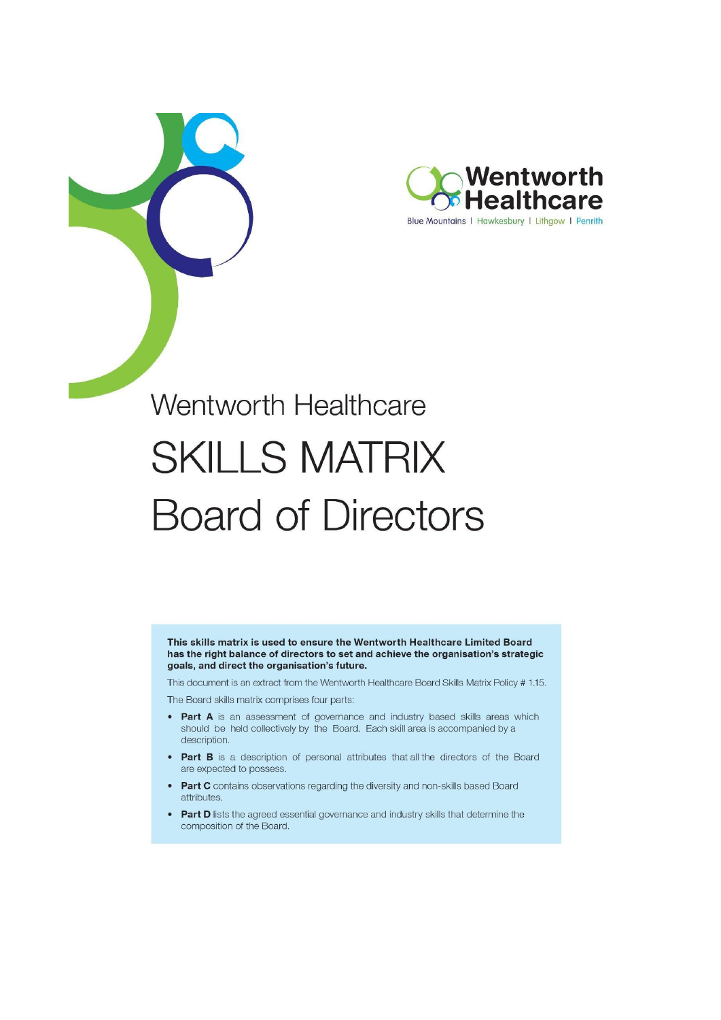

# Wentworth Healthcare **SKILLS MATRIX Board of Directors**

This skills matrix is used to ensure the Wentworth Healthcare Limited Board has the right balance of directors to set and achieve the organisation's strategic goals, and direct the organisation's future.

This document is an extract from the Wentworth Healthcare Board Skills Matrix Policy # 1.15.

The Board skills matrix comprises four parts:

- Part A is an assessment of governance and industry based skills areas which should be held collectively by the Board. Each skill area is accompanied by a description.
- Part B is a description of personal attributes that all the directors of the Board  $\bullet$ are expected to possess.
- Part C contains observations regarding the diversity and non-skills based Board attributes.
- Part D lists the agreed essential governance and industry skills that determine the  $\bullet$ composition of the Board.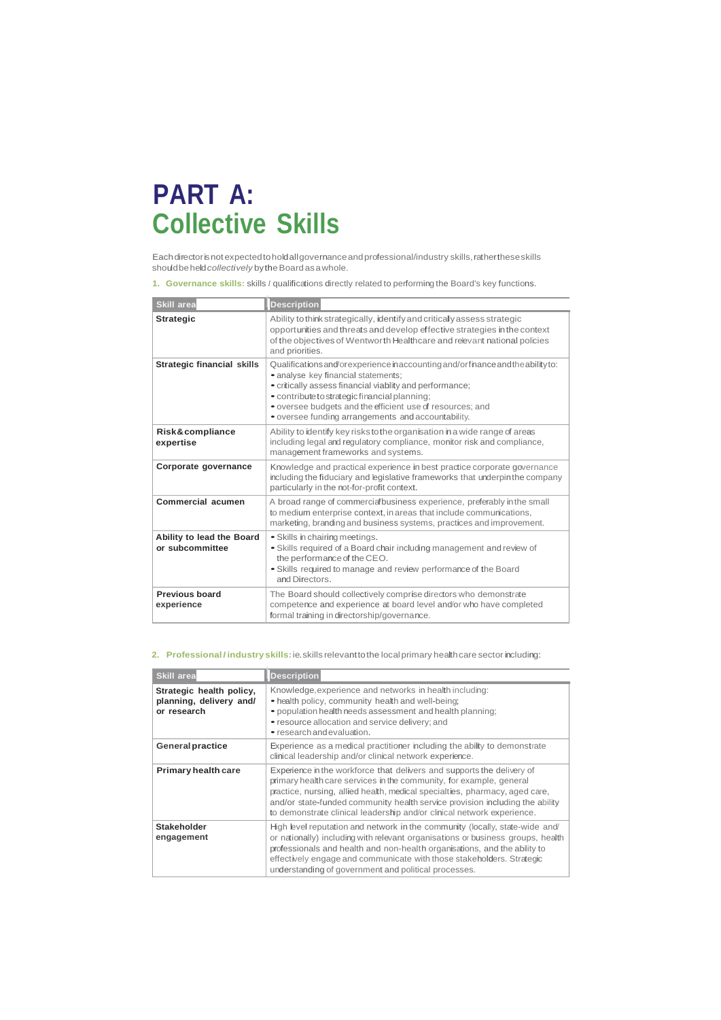# **PART A: Collective Skills**

Eachdirectorisnotexpectedtoholdallgovernanceandprofessional/industry skills,rathertheseskills shouldbeheld*collectively* bytheBoardasawhole.

**1. Governance skills:** skills *I* qualifications directly related to performing the Board's key functions.

| <b>Skill area</b>                            | <b>Description</b>                                                                                                                                                                                                                                                                                                                                       |
|----------------------------------------------|----------------------------------------------------------------------------------------------------------------------------------------------------------------------------------------------------------------------------------------------------------------------------------------------------------------------------------------------------------|
| <b>Strategic</b>                             | Ability to think strategically, identify and critically assess strategic<br>opportunities and threats and develop effective strategies in the context<br>of the objectives of Wentworth Healthcare and relevant national policies<br>and priorities.                                                                                                     |
| <b>Strategic financial skills</b>            | Qualifications and/or experience in accounting and/or finance and the ability to:<br>• analyse key financial statements;<br>• critically assess financial viability and performance;<br>• contribute to strategic financial planning;<br>• oversee budgets and the efficient use of resources; and<br>• oversee funding arrangements and accountability. |
| Risk&compliance<br>expertise                 | Ability to identify key risks to the organisation in a wide range of areas<br>including legal and requlatory compliance, monitor risk and compliance,<br>management frameworks and systems.                                                                                                                                                              |
| Corporate governance                         | Knowledge and practical experience in best practice corporate governance<br>including the fiduciary and legislative frameworks that underpin the company<br>particularly in the not-for-profit context.                                                                                                                                                  |
| Commercial acumen                            | A broad range of commercial business experience, preferably in the small<br>to medium enterprise context, in areas that include communications,<br>marketing, branding and business systems, practices and improvement.                                                                                                                                  |
| Ability to lead the Board<br>or subcommittee | • Skills in chairing meetings.<br>• Skills required of a Board chair including management and review of<br>the performance of the CEO.<br>. Skills required to manage and review performance of the Board<br>and Directors.                                                                                                                              |
| <b>Previous board</b><br>experience          | The Board should collectively comprise directors who demonstrate<br>competence and experience at board level and/or who have completed<br>formal training in directorship/governance.                                                                                                                                                                    |

#### **2. Professional***I* **industry skills:**ie.skills relevanttothe localprimary healthcare sector including:

| <b>Skill area</b>                                                  | <b>Description</b>                                                                                                                                                                                                                                                                                                                                                                     |  |  |  |  |  |  |  |  |
|--------------------------------------------------------------------|----------------------------------------------------------------------------------------------------------------------------------------------------------------------------------------------------------------------------------------------------------------------------------------------------------------------------------------------------------------------------------------|--|--|--|--|--|--|--|--|
| Strategic health policy,<br>planning, delivery and/<br>or research | Knowledge, experience and networks in health including:<br>• health policy, community health and well-being;<br>· population health needs assessment and health planning;<br>• resource allocation and service delivery; and<br>• research and evaluation.                                                                                                                             |  |  |  |  |  |  |  |  |
| <b>General practice</b>                                            | Experience as a medical practitioner including the ability to demonstrate<br>clinical leadership and/or clinical network experience.                                                                                                                                                                                                                                                   |  |  |  |  |  |  |  |  |
| <b>Primary health care</b>                                         | Experience in the workforce that delivers and supports the delivery of<br>primary health care services in the community, for example, general<br>practice, nursing, allied health, medical specialties, pharmacy, aged care,<br>and/or state-funded community health service provision including the ability<br>to demonstrate clinical leadership and/or clinical network experience. |  |  |  |  |  |  |  |  |
| Stakeholder<br>engagement                                          | High level reputation and network in the community (locally, state-wide and<br>or nationally) including with relevant organisations or business groups, health<br>professionals and health and non-health organisations, and the ability to<br>effectively engage and communicate with those stakeholders. Strategic<br>understanding of government and political processes.           |  |  |  |  |  |  |  |  |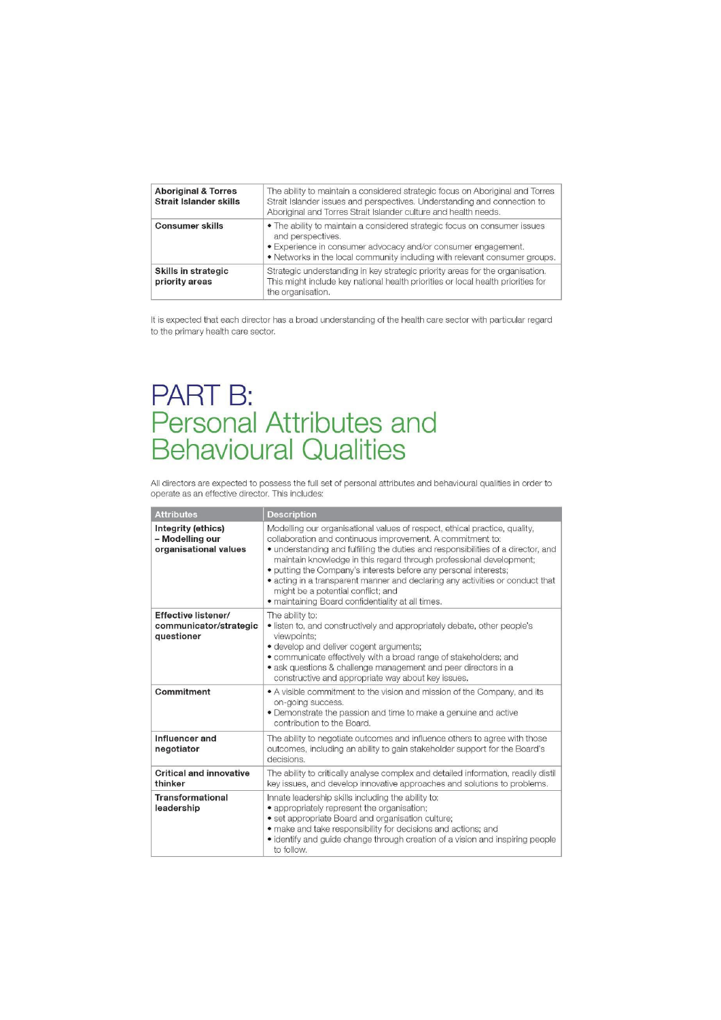| <b>Aboriginal &amp; Torres</b><br>Strait Islander skills | The ability to maintain a considered strategic focus on Aboriginal and Torres<br>Strait Islander issues and perspectives. Understanding and connection to<br>Aboriginal and Torres Strait Islander culture and health needs.                  |
|----------------------------------------------------------|-----------------------------------------------------------------------------------------------------------------------------------------------------------------------------------------------------------------------------------------------|
| <b>Consumer skills</b>                                   | • The ability to maintain a considered strategic focus on consumer issues<br>and perspectives.<br>• Experience in consumer advocacy and/or consumer engagement.<br>. Networks in the local community including with relevant consumer groups. |
| Skills in strategic<br>priority areas                    | Strategic understanding in key strategic priority areas for the organisation.<br>This might include key national health priorities or local health priorities for<br>the organisation.                                                        |

It is expected that each director has a broad understanding of the health care sector with particular regard to the primary health care sector.

# PART B:<br>Personal Attributes and<br>Behavioural Qualities

All directors are expected to possess the full set of personal attributes and behavioural qualities in order to operate as an effective director. This includes:

| <b>Attributes</b>                                              | <b>Description</b>                                                                                                                                                                                                                                                                                                                                                                                                                                                                                                                                   |
|----------------------------------------------------------------|------------------------------------------------------------------------------------------------------------------------------------------------------------------------------------------------------------------------------------------------------------------------------------------------------------------------------------------------------------------------------------------------------------------------------------------------------------------------------------------------------------------------------------------------------|
| Integrity (ethics)<br>- Modelling our<br>organisational values | Modelling our organisational values of respect, ethical practice, quality,<br>collaboration and continuous improvement. A commitment to:<br>• understanding and fulfilling the duties and responsibilities of a director, and<br>maintain knowledge in this regard through professional development;<br>· putting the Company's interests before any personal interests;<br>• acting in a transparent manner and declaring any activities or conduct that<br>might be a potential conflict; and<br>· maintaining Board confidentiality at all times. |
| Effective listener/<br>communicator/strategic<br>questioner    | The ability to:<br>• listen to, and constructively and appropriately debate, other people's<br>viewpoints:<br>· develop and deliver cogent arguments;<br>· communicate effectively with a broad range of stakeholders; and<br>• ask questions & challenge management and peer directors in a<br>constructive and appropriate way about key issues.                                                                                                                                                                                                   |
| Commitment                                                     | • A visible commitment to the vision and mission of the Company, and its<br>on-going success.<br>• Demonstrate the passion and time to make a genuine and active<br>contribution to the Board.                                                                                                                                                                                                                                                                                                                                                       |
| Influencer and<br>negotiator                                   | The ability to negotiate outcomes and influence others to agree with those<br>outcomes, including an ability to gain stakeholder support for the Board's<br>decisions.                                                                                                                                                                                                                                                                                                                                                                               |
| <b>Critical and innovative</b><br>thinker                      | The ability to critically analyse complex and detailed information, readily distil<br>key issues, and develop innovative approaches and solutions to problems.                                                                                                                                                                                                                                                                                                                                                                                       |
| <b>Transformational</b><br>leadership                          | Innate leadership skills including the ability to:<br>• appropriately represent the organisation;<br>• set appropriate Board and organisation culture;<br>• make and take responsibility for decisions and actions; and<br>• identify and guide change through creation of a vision and inspiring people<br>to follow.                                                                                                                                                                                                                               |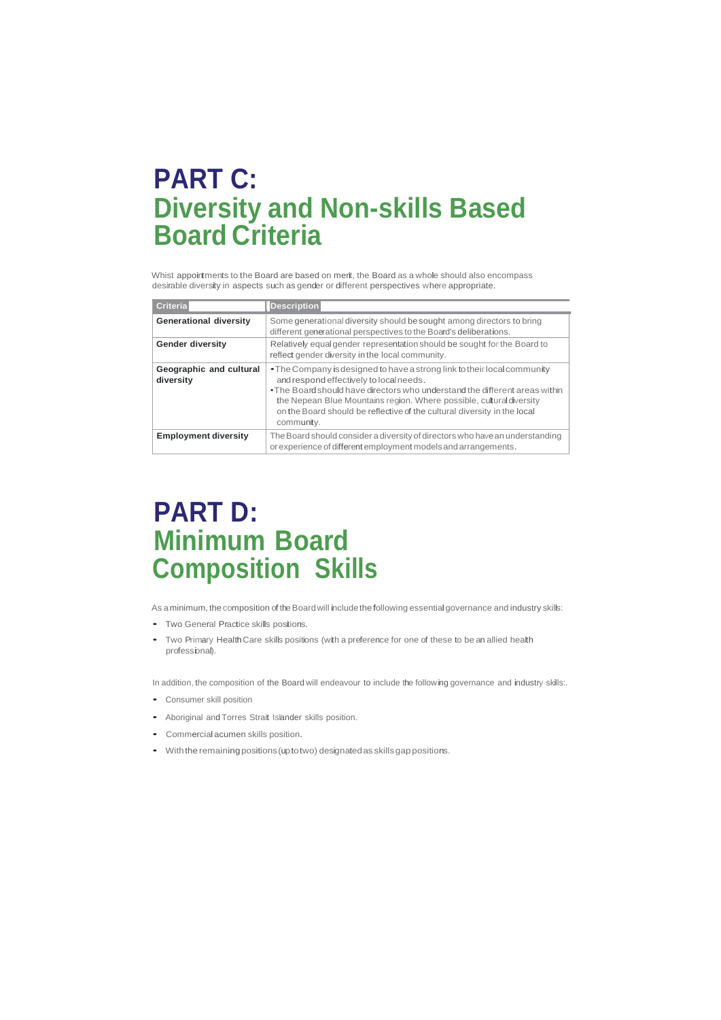# **PART C: Diversity and Non-skills Based Board Criteria**

Whist appointments to the Board are based on merit, the Board as a whole should also encompass desirable diversity in aspects such as gender or different perspectives where appropriate.

| <b>Criteria</b>                      | <b>Description</b>                                                                                                                                                                                                                                                                                                                                                   |
|--------------------------------------|----------------------------------------------------------------------------------------------------------------------------------------------------------------------------------------------------------------------------------------------------------------------------------------------------------------------------------------------------------------------|
| <b>Generational diversity</b>        | Some generational diversity should be sought among directors to bring<br>different generational perspectives to the Board's deliberations.                                                                                                                                                                                                                           |
| <b>Gender diversity</b>              | Relatively equal gender representation should be sought for the Board to<br>reflect gender diversity in the local community.                                                                                                                                                                                                                                         |
| Geographic and cultural<br>diversity | • The Company is designed to have a strong link to their local community<br>and respond effectively to local needs.<br>• The Board should have directors who understand the different areas within<br>the Nepean Blue Mountains region. Where possible, cultural diversity<br>on the Board should be reflective of the cultural diversity in the local<br>community. |
| <b>Employment diversity</b>          | The Board should consider a diversity of directors who have an understanding<br>or experience of different employment models and arrangements.                                                                                                                                                                                                                       |

# **PART D: Minimum Board Composition Skills**

As aminimum, the composition of the Board will include the following essential governance and industry skills:

- Two General Practice skills positions.
- Two Primary HealthCare skills positions (with <sup>a</sup> preference for one of these to be an allied health professional).

In addition, the composition of the Board will endeavour to include the following governance and industry skills:.

- Consumer skill position
- Aboriginal and Torres Strait Islander skills position.
- Commercial acumen skills position.
- Withthe remainingpositions(uptotwo) designatedas skillsgappositions.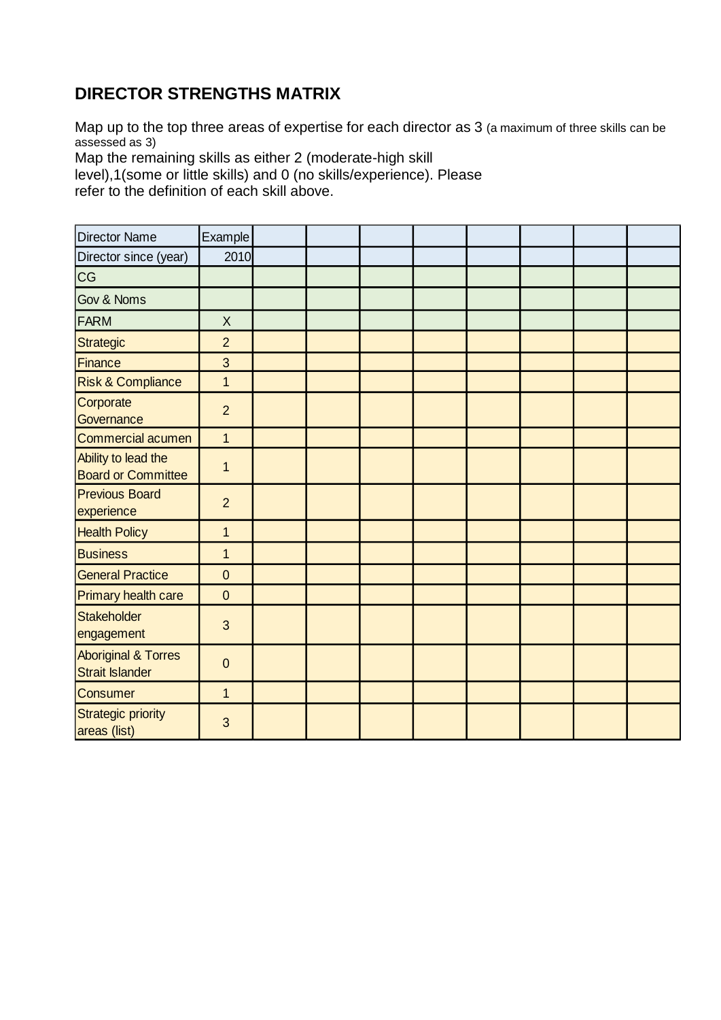### **DIRECTOR STRENGTHS MATRIX**

Map up to the top three areas of expertise for each director as 3 (a maximum of three skills can be assessed as 3)

Map the remaining skills as either 2 (moderate-high skill

level),1(some or little skills) and 0 (no skills/experience). Please refer to the definition of each skill above.

| Director Name                                            | Example        |  |  |  |  |
|----------------------------------------------------------|----------------|--|--|--|--|
| Director since (year)                                    | 2010           |  |  |  |  |
| CG                                                       |                |  |  |  |  |
| Gov & Noms                                               |                |  |  |  |  |
| FARM                                                     | X              |  |  |  |  |
| Strategic                                                | $\overline{2}$ |  |  |  |  |
| Finance                                                  | 3              |  |  |  |  |
| <b>Risk &amp; Compliance</b>                             | $\overline{1}$ |  |  |  |  |
| Corporate<br>Governance                                  | $\overline{2}$ |  |  |  |  |
| Commercial acumen                                        | 1              |  |  |  |  |
| Ability to lead the<br><b>Board or Committee</b>         | 1              |  |  |  |  |
| <b>Previous Board</b><br>experience                      | $\overline{2}$ |  |  |  |  |
| <b>Health Policy</b>                                     | $\mathbf{1}$   |  |  |  |  |
| <b>Business</b>                                          | $\mathbf{1}$   |  |  |  |  |
| <b>General Practice</b>                                  | $\mathbf{0}$   |  |  |  |  |
| Primary health care                                      | $\mathbf{0}$   |  |  |  |  |
| Stakeholder<br>engagement                                | 3              |  |  |  |  |
| <b>Aboriginal &amp; Torres</b><br><b>Strait Islander</b> | $\mathbf 0$    |  |  |  |  |
| <b>Consumer</b>                                          | $\mathbf{1}$   |  |  |  |  |
| Strategic priority<br>areas (list)                       | 3              |  |  |  |  |